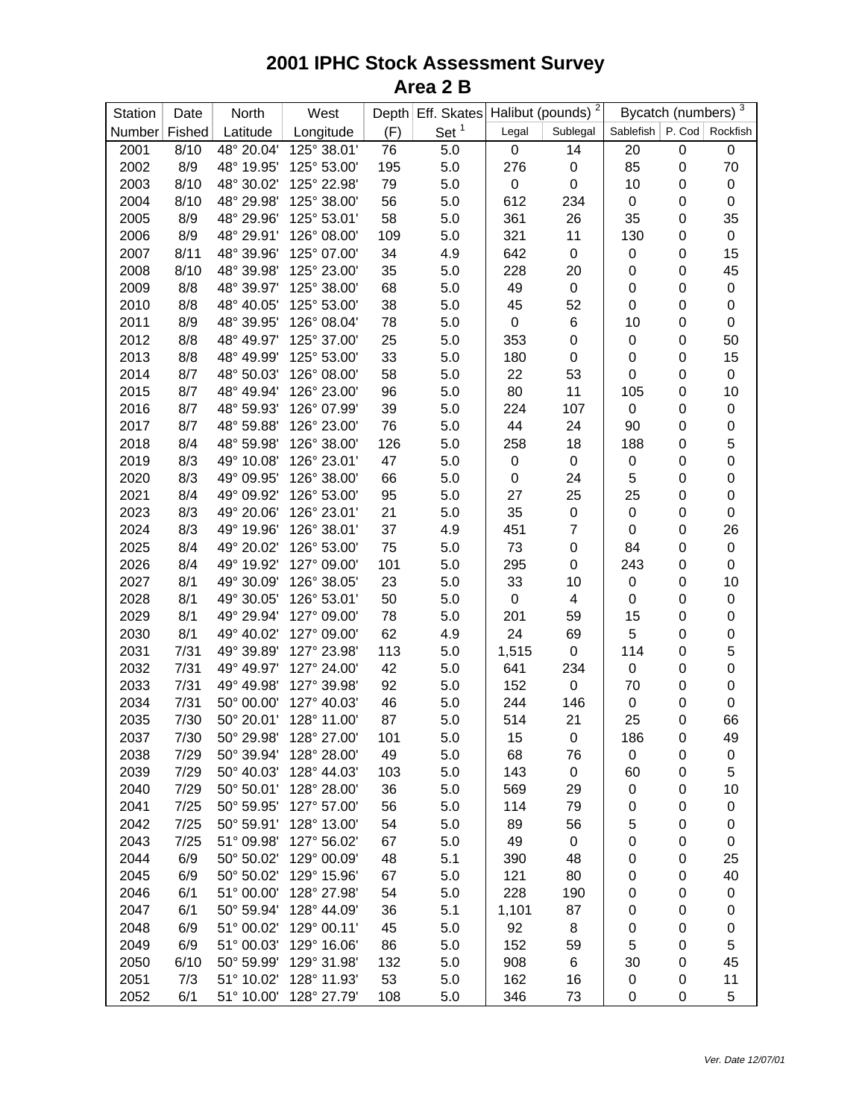| Station | Date   | North      | West                   |     | Depth Eff. Skates |             | Halibut (pounds) <sup>2</sup> |                  | Bycatch (numbers) 3 |                 |
|---------|--------|------------|------------------------|-----|-------------------|-------------|-------------------------------|------------------|---------------------|-----------------|
| Number  | Fished | Latitude   | Longitude              | (F) | Set <sup>1</sup>  | Legal       | Sublegal                      | Sablefish        |                     | P. Cod Rockfish |
| 2001    | 8/10   | 48° 20.04' | 125° 38.01'            | 76  | 5.0               | $\mathbf 0$ | 14                            | 20               | $\mathbf 0$         | $\pmb{0}$       |
| 2002    | 8/9    | 48° 19.95' | 125° 53.00'            | 195 | 5.0               | 276         | $\pmb{0}$                     | 85               | 0                   | 70              |
| 2003    | 8/10   | 48° 30.02' | 125° 22.98'            | 79  | 5.0               | 0           | $\mathbf 0$                   | 10               | $\boldsymbol{0}$    | $\pmb{0}$       |
| 2004    | 8/10   | 48° 29.98' | 125° 38.00'            | 56  | 5.0               | 612         | 234                           | $\mathbf 0$      | 0                   | $\pmb{0}$       |
| 2005    | 8/9    | 48° 29.96' | 125° 53.01'            | 58  | 5.0               | 361         | 26                            | 35               | 0                   | 35              |
| 2006    | 8/9    | 48° 29.91' | 126° 08.00'            | 109 | 5.0               | 321         | 11                            | 130              | 0                   | $\pmb{0}$       |
| 2007    | 8/11   | 48° 39.96' | 125° 07.00'            | 34  | 4.9               | 642         | $\pmb{0}$                     | 0                | 0                   | 15              |
| 2008    | 8/10   | 48° 39.98' | 125° 23.00'            | 35  | 5.0               | 228         | 20                            | $\mathbf 0$      | 0                   | 45              |
| 2009    | 8/8    | 48° 39.97' | 125° 38.00'            | 68  | 5.0               | 49          | $\pmb{0}$                     | $\mathbf 0$      | $\mathbf 0$         | $\pmb{0}$       |
| 2010    | 8/8    | 48° 40.05' | 125° 53.00'            | 38  | 5.0               | 45          | 52                            | $\mathbf 0$      | $\mathbf 0$         | $\pmb{0}$       |
| 2011    | 8/9    | 48° 39.95' | 126° 08.04'            | 78  | 5.0               | 0           | 6                             | 10               | 0                   | $\pmb{0}$       |
| 2012    | 8/8    | 48° 49.97' | 125° 37.00'            | 25  | 5.0               | 353         | $\pmb{0}$                     | $\mathbf 0$      | $\boldsymbol{0}$    | 50              |
| 2013    | 8/8    | 48° 49.99' | 125° 53.00'            | 33  | 5.0               | 180         | $\boldsymbol{0}$              | $\pmb{0}$        | $\boldsymbol{0}$    | 15              |
| 2014    | 8/7    | 48° 50.03' | 126° 08.00'            | 58  | 5.0               | 22          | 53                            | $\pmb{0}$        | $\boldsymbol{0}$    | $\pmb{0}$       |
| 2015    | 8/7    | 48° 49.94' | 126° 23.00'            | 96  | 5.0               | 80          | 11                            | 105              | $\boldsymbol{0}$    | 10              |
| 2016    | 8/7    | 48° 59.93' | 126° 07.99'            | 39  | 5.0               | 224         | 107                           | $\mathbf 0$      | $\boldsymbol{0}$    | $\pmb{0}$       |
| 2017    | 8/7    | 48° 59.88' | 126° 23.00'            | 76  | 5.0               | 44          | 24                            | 90               | $\boldsymbol{0}$    | $\pmb{0}$       |
| 2018    | 8/4    | 48° 59.98' | 126° 38.00'            | 126 | 5.0               | 258         | 18                            | 188              | 0                   | 5               |
| 2019    | 8/3    | 49° 10.08' | 126° 23.01'            | 47  | 5.0               | 0           | $\pmb{0}$                     | $\pmb{0}$        | 0                   | $\pmb{0}$       |
| 2020    | 8/3    | 49° 09.95' | 126° 38.00'            | 66  | 5.0               | 0           | 24                            | 5                | 0                   | $\pmb{0}$       |
| 2021    | 8/4    | 49° 09.92' | 126° 53.00'            | 95  | 5.0               | 27          | 25                            | 25               | 0                   | $\mathbf 0$     |
| 2023    | 8/3    | 49° 20.06' | 126° 23.01'            | 21  | 5.0               | 35          | $\pmb{0}$                     | $\mathbf 0$      | $\boldsymbol{0}$    | $\pmb{0}$       |
| 2024    | 8/3    | 49° 19.96' | 126° 38.01'            | 37  | 4.9               | 451         | $\overline{7}$                | $\pmb{0}$        | $\boldsymbol{0}$    | 26              |
| 2025    | 8/4    | 49° 20.02' | 126° 53.00'            | 75  | 5.0               | 73          | $\mathbf 0$                   | 84               | $\boldsymbol{0}$    | $\pmb{0}$       |
| 2026    | 8/4    | 49° 19.92' | 127° 09.00'            | 101 | 5.0               | 295         | $\pmb{0}$                     | 243              | $\boldsymbol{0}$    | $\pmb{0}$       |
| 2027    | 8/1    | 49° 30.09' | 126° 38.05'            | 23  | 5.0               | 33          | 10                            | 0                | $\boldsymbol{0}$    | 10              |
| 2028    | 8/1    | 49° 30.05' | 126° 53.01'            | 50  | 5.0               | 0           | $\overline{\mathbf{4}}$       | $\pmb{0}$        | $\boldsymbol{0}$    | $\pmb{0}$       |
| 2029    | 8/1    | 49° 29.94' | 127° 09.00'            | 78  | 5.0               | 201         | 59                            | 15               | $\pmb{0}$           | $\pmb{0}$       |
| 2030    | 8/1    | 49° 40.02' | 127° 09.00'            | 62  | 4.9               | 24          | 69                            | 5                | $\pmb{0}$           | $\pmb{0}$       |
| 2031    | 7/31   | 49° 39.89' | 127° 23.98'            | 113 | 5.0               | 1,515       | $\pmb{0}$                     | 114              | 0                   | 5               |
| 2032    | 7/31   | 49° 49.97' | 127° 24.00'            | 42  | 5.0               | 641         | 234                           | $\pmb{0}$        | 0                   | $\pmb{0}$       |
| 2033    | 7/31   | 49° 49.98' | 127° 39.98'            | 92  | 5.0               | 152         | $\pmb{0}$                     | 70               | 0                   | $\pmb{0}$       |
| 2034    | 7/31   | 50° 00.00' | 127° 40.03'            | 46  | 5.0               | 244         | 146                           | 0                | 0                   | $\pmb{0}$       |
| 2035    | 7/30   | 50° 20.01' | 128° 11.00'            | 87  | 5.0               | 514         | 21                            | 25               | 0                   | 66              |
| 2037    | 7/30   |            | 50° 29.98' 128° 27.00' | 101 | 5.0               | 15          | $\mathbf 0$                   | 186              | $\pmb{0}$           | 49              |
| 2038    | 7/29   | 50° 39.94' | 128° 28.00'            | 49  | 5.0               | 68          | 76                            | 0                | 0                   | $\pmb{0}$       |
| 2039    | 7/29   | 50° 40.03' | 128° 44.03'            | 103 | 5.0               | 143         | 0                             | 60               | $\boldsymbol{0}$    | 5               |
| 2040    | 7/29   | 50° 50.01' | 128° 28.00'            | 36  | 5.0               | 569         | 29                            | $\pmb{0}$        | 0                   | 10              |
| 2041    | 7/25   | 50° 59.95' | 127° 57.00'            | 56  | 5.0               | 114         | 79                            | 0                | 0                   | $\pmb{0}$       |
| 2042    | 7/25   | 50° 59.91' | 128° 13.00'            | 54  | 5.0               | 89          | 56                            | 5                | $\boldsymbol{0}$    | 0               |
| 2043    | 7/25   | 51° 09.98' | 127° 56.02'            | 67  | 5.0               | 49          | 0                             | $\mathbf 0$      | $\boldsymbol{0}$    | $\pmb{0}$       |
| 2044    | 6/9    | 50° 50.02' | 129° 00.09'            | 48  | 5.1               | 390         | 48                            | $\pmb{0}$        | $\boldsymbol{0}$    | 25              |
| 2045    | 6/9    | 50° 50.02' | 129° 15.96'            | 67  | 5.0               | 121         | 80                            | $\boldsymbol{0}$ | $\boldsymbol{0}$    | 40              |
| 2046    | 6/1    | 51° 00.00' | 128° 27.98'            | 54  | 5.0               | 228         | 190                           | $\pmb{0}$        | 0                   | $\pmb{0}$       |
| 2047    | 6/1    | 50° 59.94' | 128° 44.09'            | 36  | 5.1               | 1,101       | 87                            | 0                | 0                   | 0               |
| 2048    | 6/9    | 51° 00.02' | 129° 00.11'            | 45  | 5.0               | 92          | 8                             | 0                | 0                   | 0               |
| 2049    | 6/9    | 51° 00.03' | 129° 16.06'            | 86  | 5.0               | 152         | 59                            | 5                | 0                   | 5               |
| 2050    | 6/10   | 50° 59.99' | 129° 31.98'            | 132 | 5.0               | 908         | 6                             | 30               | 0                   | 45              |
| 2051    | 7/3    | 51° 10.02' | 128° 11.93'            | 53  | 5.0               | 162         | 16                            | $\pmb{0}$        | $\boldsymbol{0}$    | 11              |
| 2052    | 6/1    | 51° 10.00' | 128° 27.79'            | 108 | 5.0               | 346         | 73                            | 0                | 0                   | 5               |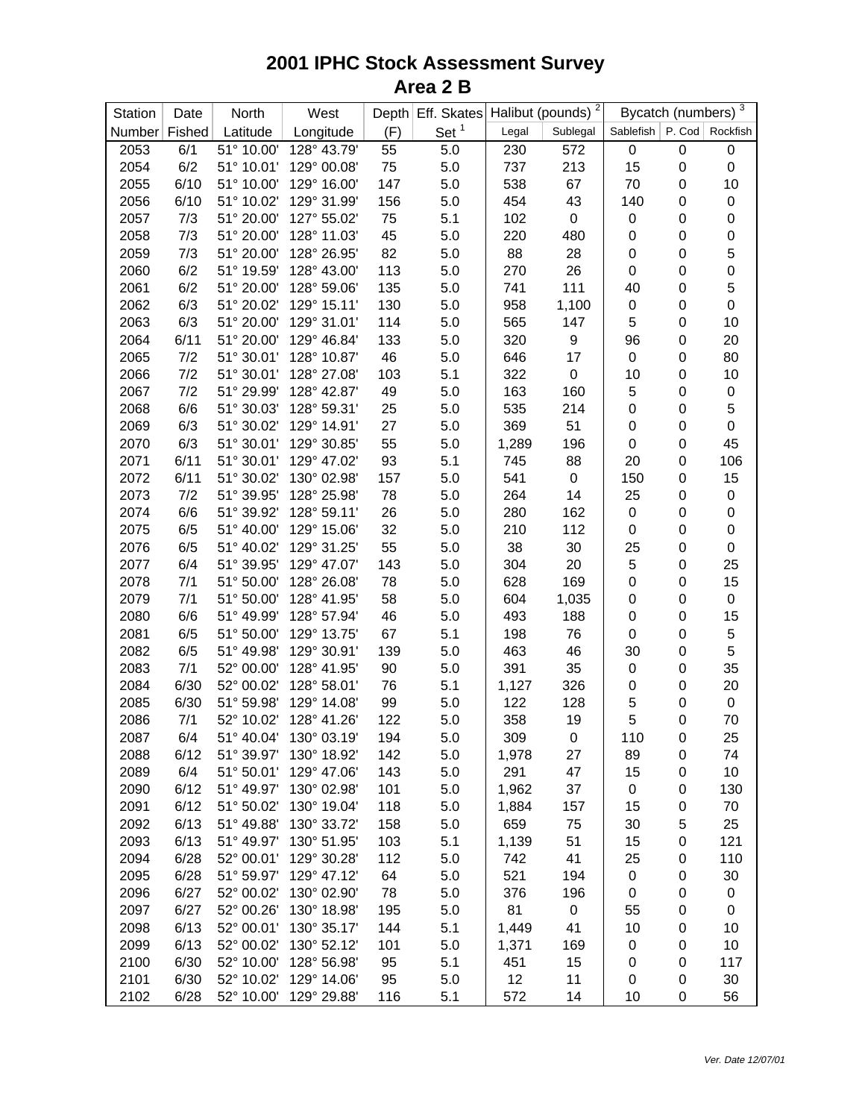| Set <sup>1</sup><br>Fished<br>Latitude<br>Longitude<br>(F)<br>Number<br>Sublegal<br>Legal<br>51° 10.00'<br>$\pmb{0}$<br>2053<br>6/1<br>128° 43.79'<br>55<br>5.0<br>230<br>572 | Bycatch (numbers) <sup>3</sup><br>Sablefish   P. Cod   Rockfish |             |
|-------------------------------------------------------------------------------------------------------------------------------------------------------------------------------|-----------------------------------------------------------------|-------------|
|                                                                                                                                                                               |                                                                 |             |
|                                                                                                                                                                               | $\boldsymbol{0}$                                                | $\pmb{0}$   |
| 2054<br>6/2<br>129° 00.08'<br>75<br>$5.0\,$<br>51° 10.01'<br>737<br>213<br>15                                                                                                 | $\boldsymbol{0}$                                                | $\pmb{0}$   |
| 6/10<br>129° 16.00'<br>147<br>$5.0\,$<br>70<br>2055<br>51° 10.00'<br>538<br>67                                                                                                | $\boldsymbol{0}$                                                | 10          |
| 2056<br>6/10<br>51° 10.02'<br>129° 31.99'<br>454<br>43<br>156<br>5.0<br>140                                                                                                   | $\boldsymbol{0}$                                                | $\pmb{0}$   |
| 7/3<br>51° 20.00'<br>127° 55.02'<br>75<br>5.1<br>102<br>$\pmb{0}$<br>2057<br>$\pmb{0}$                                                                                        | $\boldsymbol{0}$                                                | $\pmb{0}$   |
| 2058<br>7/3<br>51° 20.00'<br>128° 11.03'<br>45<br>5.0<br>220<br>$\mathbf 0$<br>480                                                                                            | $\pmb{0}$                                                       | $\pmb{0}$   |
| 82<br>2059<br>7/3<br>51° 20.00'<br>128° 26.95'<br>88<br>28<br>$\mathbf 0$<br>5.0                                                                                              | 0                                                               | 5           |
| 6/2<br>128° 43.00'<br>113<br>5.0<br>270<br>26<br>$\mathbf 0$<br>2060<br>51° 19.59'                                                                                            | 0                                                               | $\pmb{0}$   |
| 6/2<br>51° 20.00'<br>128° 59.06'<br>135<br>5.0<br>111<br>40<br>2061<br>741                                                                                                    | $\mathbf 0$                                                     | 5           |
| 6/3<br>51° 20.02'<br>129° 15.11'<br>130<br>5.0<br>$\mathsf 0$<br>2062<br>958<br>1,100                                                                                         | 0                                                               | $\mathbf 0$ |
| 5<br>6/3<br>51° 20.00'<br>129° 31.01'<br>114<br>5.0<br>147<br>2063<br>565                                                                                                     | 0                                                               | 10          |
| 6/11<br>51° 20.00'<br>129° 46.84'<br>5.0<br>320<br>$\boldsymbol{9}$<br>96<br>2064<br>133                                                                                      | $\mathbf 0$                                                     | 20          |
| 7/2<br>51° 30.01'<br>128° 10.87'<br>46<br>5.0<br>17<br>$\pmb{0}$<br>2065<br>646                                                                                               | 0                                                               | 80          |
| 7/2<br>128° 27.08'<br>103<br>5.1<br>322<br>$\pmb{0}$<br>10<br>2066<br>51° 30.01'                                                                                              | $\boldsymbol{0}$                                                | 10          |
| 5<br>7/2<br>128° 42.87'<br>5.0<br>160<br>2067<br>51° 29.99'<br>49<br>163                                                                                                      | $\pmb{0}$                                                       | $\pmb{0}$   |
| $\mathbf 0$<br>2068<br>6/6<br>51° 30.03'<br>128° 59.31'<br>25<br>5.0<br>535<br>214                                                                                            | $\pmb{0}$                                                       | 5           |
| 2069<br>6/3<br>51° 30.02'<br>129° 14.91'<br>27<br>5.0<br>369<br>51<br>$\mathbf 0$                                                                                             | $\boldsymbol{0}$                                                | $\pmb{0}$   |
| 6/3<br>129° 30.85'<br>55<br>5.0<br>196<br>$\mathbf 0$<br>2070<br>51° 30.01'<br>1,289                                                                                          | $\boldsymbol{0}$                                                | 45          |
| 2071<br>6/11<br>129° 47.02'<br>93<br>5.1<br>88<br>20<br>51° 30.01'<br>745                                                                                                     | $\boldsymbol{0}$                                                | 106         |
| 157<br>5.0<br>$\pmb{0}$<br>150<br>2072<br>6/11<br>51° 30.02'<br>130° 02.98'<br>541                                                                                            | $\pmb{0}$                                                       | 15          |
| 14<br>25<br>2073<br>7/2<br>51° 39.95'<br>128° 25.98'<br>78<br>5.0<br>264                                                                                                      | 0                                                               | $\pmb{0}$   |
| 2074<br>6/6<br>51° 39.92'<br>128° 59.11'<br>26<br>5.0<br>280<br>162<br>$\mathsf 0$                                                                                            | 0                                                               | $\pmb{0}$   |
| 32<br>2075<br>6/5<br>51° 40.00'<br>129° 15.06'<br>5.0<br>210<br>112<br>$\boldsymbol{0}$                                                                                       | 0                                                               | $\pmb{0}$   |
| 2076<br>6/5<br>51° 40.02'<br>129° 31.25'<br>55<br>5.0<br>38<br>30<br>25                                                                                                       | 0                                                               | $\pmb{0}$   |
| 5<br>2077<br>6/4<br>51° 39.95'<br>129° 47.07'<br>143<br>5.0<br>304<br>20                                                                                                      | $\mathbf 0$                                                     | 25          |
| 2078<br>51° 50.00'<br>128° 26.08'<br>78<br>5.0<br>628<br>169<br>$\mathbf 0$<br>7/1                                                                                            | $\boldsymbol{0}$                                                | 15          |
| 2079<br>7/1<br>51° 50.00'<br>128° 41.95'<br>58<br>5.0<br>$\mathbf 0$<br>604<br>1,035                                                                                          | $\boldsymbol{0}$                                                | $\pmb{0}$   |
| 2080<br>6/6<br>51° 49.99'<br>128° 57.94'<br>46<br>5.0<br>493<br>188<br>$\boldsymbol{0}$                                                                                       | $\boldsymbol{0}$                                                | 15          |
| 2081<br>6/5<br>129° 13.75'<br>51° 50.00'<br>67<br>5.1<br>198<br>76<br>$\boldsymbol{0}$                                                                                        | $\boldsymbol{0}$                                                | $\mathbf 5$ |
| 2082<br>6/5<br>51° 49.98'<br>129° 30.91'<br>139<br>5.0<br>463<br>46<br>30                                                                                                     | $\boldsymbol{0}$                                                | $\mathbf 5$ |
| 35<br>2083<br>7/1<br>52° 00.00'<br>128° 41.95'<br>391<br>$\mathbf 0$<br>90<br>5.0                                                                                             | $\pmb{0}$                                                       | 35          |
| 2084<br>6/30<br>52° 00.02'<br>128° 58.01'<br>76<br>5.1<br>326<br>$\mathbf 0$<br>1,127                                                                                         | $\pmb{0}$                                                       | 20          |
| $\mathbf 5$<br>2085<br>6/30<br>51° 59.98'<br>129° 14.08'<br>$5.0\,$<br>122<br>128<br>99                                                                                       | 0                                                               | $\pmb{0}$   |
| 5<br>128° 41.26'<br>7/1<br>52° 10.02'<br>122<br>358<br>19<br>2086<br>5.0                                                                                                      | 0                                                               | 70          |
| 6/4<br>51° 40.04' 130° 03.19'<br>194<br>$\pmb{0}$<br>110<br>2087<br>5.0<br>309                                                                                                | $\mathbf 0$                                                     | 25          |
| 6/12<br>51° 39.97'<br>130° 18.92'<br>142<br>5.0<br>27<br>89<br>2088<br>1,978                                                                                                  | 0                                                               | 74          |
| 2089<br>6/4<br>51° 50.01'<br>129° 47.06'<br>143<br>5.0<br>291<br>47<br>15                                                                                                     | 0                                                               | 10          |
| 6/12<br>51° 49.97'<br>130° 02.98'<br>101<br>5.0<br>1,962<br>37<br>0<br>2090                                                                                                   | 0                                                               | 130         |
| 6/12<br>5.0<br>2091<br>51° 50.02'<br>130° 19.04'<br>118<br>157<br>15<br>1,884                                                                                                 | $\pmb{0}$                                                       | 70          |
| 6/13<br>5.0<br>2092<br>51° 49.88'<br>130° 33.72'<br>158<br>659<br>75<br>30                                                                                                    | 5                                                               | 25          |
| 6/13<br>103<br>5.1<br>2093<br>51° 49.97'<br>130° 51.95'<br>1,139<br>51<br>15                                                                                                  | $\boldsymbol{0}$                                                | 121         |
| 6/28<br>129° 30.28'<br>112<br>41<br>25<br>2094<br>52° 00.01'<br>5.0<br>742                                                                                                    | 0                                                               | 110         |
| 6/28<br>5.0<br>194<br>2095<br>51° 59.97'<br>129° 47.12'<br>64<br>521<br>$\pmb{0}$                                                                                             | $\boldsymbol{0}$                                                | 30          |
| 6/27<br>78<br>5.0<br>2096<br>52° 00.02'<br>130° 02.90'<br>376<br>196<br>$\boldsymbol{0}$                                                                                      | $\boldsymbol{0}$                                                | $\pmb{0}$   |
| 6/27<br>81<br>2097<br>52° 00.26'<br>130° 18.98'<br>195<br>5.0<br>0<br>55                                                                                                      | $\boldsymbol{0}$                                                | $\pmb{0}$   |
| 2098<br>6/13<br>52° 00.01'<br>130° 35.17'<br>144<br>5.1<br>41<br>10<br>1,449                                                                                                  | $\boldsymbol{0}$                                                | 10          |
| 6/13<br>5.0<br>2099<br>52° 00.02'<br>130° 52.12'<br>101<br>169<br>$\pmb{0}$<br>1,371                                                                                          | 0                                                               | 10          |
| 2100<br>6/30<br>52° 10.00'<br>128° 56.98'<br>95<br>5.1<br>15<br>451<br>0                                                                                                      | $\boldsymbol{0}$                                                | 117         |
| 6/30<br>95<br>2101<br>52° 10.02'<br>129° 14.06'<br>5.0<br>12<br>11<br>0                                                                                                       | 0                                                               | 30          |
| 6/28<br>129° 29.88'<br>2102<br>52° 10.00'<br>116<br>5.1<br>572<br>10<br>14                                                                                                    | 0                                                               | 56          |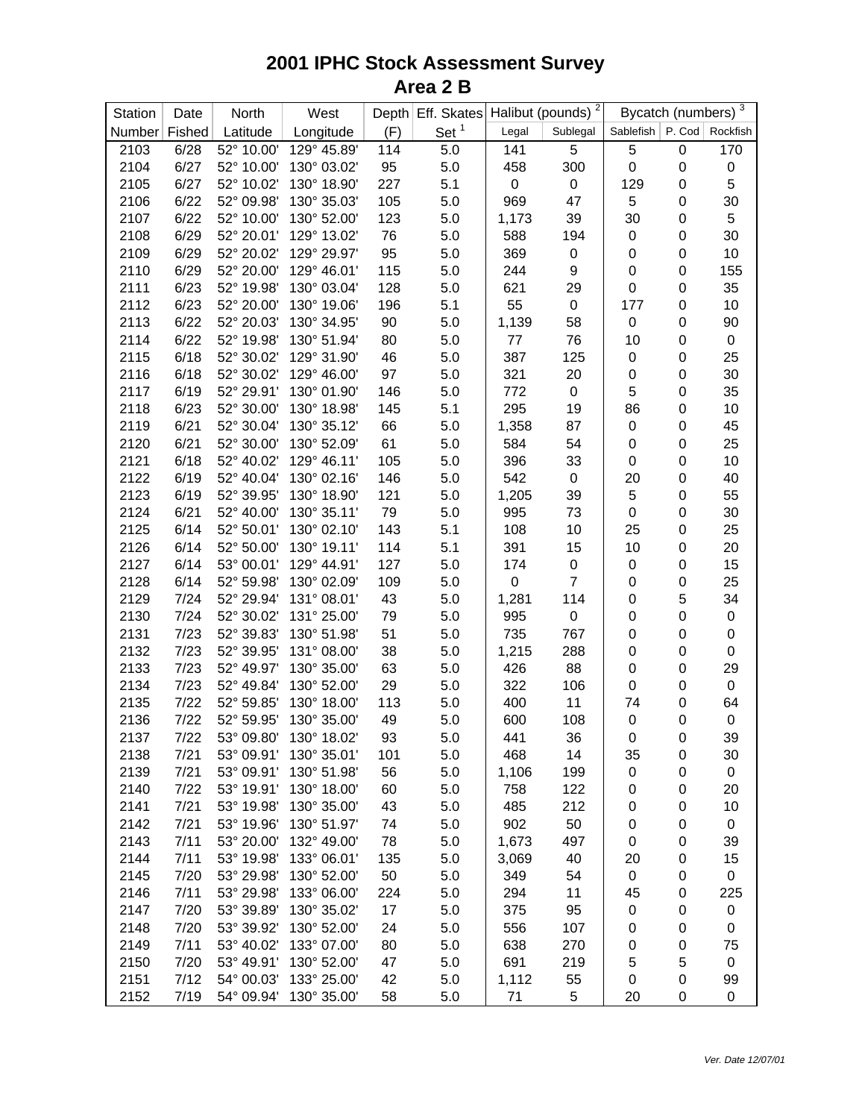| Halibut (pounds) $\sqrt{2}$                                                                       | 3<br>Bycatch (numbers) |                               |  |
|---------------------------------------------------------------------------------------------------|------------------------|-------------------------------|--|
| Set <sup>1</sup><br>Latitude<br>Longitude<br>(F)<br>Number Fished<br>Sublegal<br>Legal            |                        | Sablefish   P. Cod   Rockfish |  |
| 6/28<br>52° 10.00'<br>129° 45.89'<br>114<br>5.0<br>5<br>5<br>2103<br>141                          | $\pmb{0}$              | 170                           |  |
| 6/27<br>52° 10.00'<br>130° 03.02'<br>95<br>5.0<br>300<br>$\mathbf 0$<br>2104<br>458               | $\pmb{0}$              | $\pmb{0}$                     |  |
| 6/27<br>130° 18.90'<br>227<br>5.1<br>$\mathbf 0$<br>2105<br>52° 10.02'<br>0<br>129                | $\boldsymbol{0}$       | 5                             |  |
| 5<br>6/22<br>52° 09.98'<br>130° 35.03'<br>105<br>47<br>2106<br>5.0<br>969                         | $\boldsymbol{0}$       | 30                            |  |
| 6/22<br>52° 10.00'<br>123<br>30<br>2107<br>130° 52.00'<br>5.0<br>39<br>1,173                      | $\pmb{0}$              | 5                             |  |
| 6/29<br>52° 20.01'<br>129° 13.02'<br>2108<br>76<br>5.0<br>588<br>194<br>0                         | $\pmb{0}$              | 30                            |  |
| 6/29<br>2109<br>52° 20.02'<br>129° 29.97'<br>95<br>5.0<br>369<br>$\pmb{0}$<br>0                   | $\pmb{0}$              | 10                            |  |
| 6/29<br>52° 20.00'<br>129° 46.01'<br>115<br>$\boldsymbol{9}$<br>$\mathsf 0$<br>2110<br>5.0<br>244 | $\pmb{0}$              | 155                           |  |
| 6/23<br>52° 19.98'<br>130° 03.04'<br>621<br>$\mathsf 0$<br>2111<br>128<br>5.0<br>29               | $\boldsymbol{0}$       | 35                            |  |
| 6/23<br>52° 20.00'<br>130° 19.06'<br>55<br>$\pmb{0}$<br>2112<br>196<br>5.1<br>177                 | $\pmb{0}$              | 10                            |  |
| 6/22<br>52° 20.03'<br>130° 34.95'<br>5.0<br>1,139<br>$\mathsf 0$<br>2113<br>90<br>58              | $\boldsymbol{0}$       | 90                            |  |
| 6/22<br>52° 19.98'<br>130° 51.94'<br>5.0<br>76<br>2114<br>80<br>77<br>10                          | $\boldsymbol{0}$       | $\pmb{0}$                     |  |
| 6/18<br>52° 30.02'<br>129° 31.90'<br>5.0<br>2115<br>46<br>387<br>125<br>0                         | $\boldsymbol{0}$       | 25                            |  |
| 6/18<br>52° 30.02'<br>129° 46.00'<br>97<br>5.0<br>20<br>2116<br>321<br>$\boldsymbol{0}$           | $\boldsymbol{0}$       | 30                            |  |
| 6/19<br>52° 29.91'<br>130° 01.90'<br>5.0<br>772<br>$\mathbf 0$<br>5<br>2117<br>146                | $\boldsymbol{0}$       | 35                            |  |
| 6/23<br>52° 30.00'<br>130° 18.98'<br>295<br>19<br>86<br>2118<br>145<br>5.1                        | $\boldsymbol{0}$       | 10                            |  |
| 6/21<br>52° 30.04'<br>130° 35.12'<br>5.0<br>1,358<br>87<br>$\mathbf 0$<br>2119<br>66              | $\boldsymbol{0}$       | 45                            |  |
| 6/21<br>5.0<br>$\mathbf 0$<br>2120<br>52° 30.00'<br>130° 52.09'<br>61<br>584<br>54                | $\boldsymbol{0}$       | 25                            |  |
| 2121<br>6/18<br>52° 40.02'<br>129° 46.11'<br>105<br>5.0<br>396<br>33<br>0                         | $\boldsymbol{0}$       | 10                            |  |
| 2122<br>6/19<br>130° 02.16'<br>5.0<br>20<br>52° 40.04'<br>146<br>542<br>$\pmb{0}$                 | $\boldsymbol{0}$       | 40                            |  |
| 2123<br>5<br>6/19<br>52° 39.95'<br>130° 18.90'<br>121<br>5.0<br>1,205<br>39                       | $\boldsymbol{0}$       | 55                            |  |
| 2124<br>6/21<br>52° 40.00'<br>79<br>5.0<br>130° 35.11'<br>995<br>73<br>0                          | $\boldsymbol{0}$       | 30                            |  |
| 2125<br>6/14<br>52° 50.01'<br>130° 02.10'<br>143<br>5.1<br>10<br>25<br>108                        | $\boldsymbol{0}$       | 25                            |  |
| 2126<br>5.1<br>6/14<br>52° 50.00'<br>130° 19.11'<br>114<br>391<br>15<br>10                        | $\boldsymbol{0}$       | 20                            |  |
| 2127<br>6/14<br>53° 00.01'<br>129° 44.91'<br>5.0<br>$\mathbf 0$<br>0<br>127<br>174                | $\boldsymbol{0}$       | 15                            |  |
| $\overline{7}$<br>52° 59.98'<br>130° 02.09'<br>5.0<br>$\pmb{0}$<br>2128<br>6/14<br>109<br>0       | $\boldsymbol{0}$       | 25                            |  |
| 2129<br>7/24<br>52° 29.94'<br>131° 08.01'<br>43<br>114<br>5.0<br>1,281<br>$\boldsymbol{0}$        | 5                      | 34                            |  |
| 2130<br>7/24<br>52° 30.02'<br>131° 25.00'<br>79<br>$\mathbf 0$<br>5.0<br>995<br>$\boldsymbol{0}$  | $\boldsymbol{0}$       | $\pmb{0}$                     |  |
| 2131<br>7/23<br>52° 39.83'<br>130° 51.98'<br>51<br>735<br>767<br>5.0<br>$\boldsymbol{0}$          | $\boldsymbol{0}$       | $\pmb{0}$                     |  |
| 2132<br>7/23<br>52° 39.95'<br>131° 08.00'<br>38<br>$\mathbf 0$<br>5.0<br>1,215<br>288             | $\boldsymbol{0}$       | $\pmb{0}$                     |  |
| 2133<br>7/23<br>52° 49.97'<br>130° 35.00'<br>63<br>88<br>$\mathbf 0$<br>5.0<br>426                | $\pmb{0}$              | 29                            |  |
| 7/23<br>52° 49.84'<br>130° 52.00'<br>322<br>$\mathbf 0$<br>2134<br>29<br>5.0<br>106               | $\pmb{0}$              | $\pmb{0}$                     |  |
| 2135<br>7/22<br>52° 59.85'<br>130° 18.00'<br>400<br>11<br>113<br>5.0<br>74                        | $\pmb{0}$              | 64                            |  |
| 2136<br>7/22<br>52° 59.95'<br>130° 35.00'<br>108<br>49<br>5.0<br>600<br>0                         | $\pmb{0}$              | $\pmb{0}$                     |  |
| 2137<br>7/22<br>53° 09.80' 130° 18.02'<br>93<br>5.0<br>441<br>36<br>$\mathbf 0$                   | $\mathbf 0$            | 39                            |  |
| 7/21<br>53° 09.91'<br>130° 35.01'<br>101<br>5.0<br>468<br>14<br>35<br>2138                        | 0                      | 30                            |  |
| 2139<br>7/21<br>53° 09.91'<br>130° 51.98'<br>56<br>5.0<br>1,106<br>199<br>0                       | 0                      | $\pmb{0}$                     |  |
| 7/22<br>53° 19.91'<br>130° 18.00'<br>60<br>5.0<br>122<br>2140<br>758<br>0                         | $\pmb{0}$              | 20                            |  |
| 7/21<br>130° 35.00'<br>5.0<br>212<br>2141<br>53° 19.98'<br>43<br>485<br>0                         | $\boldsymbol{0}$       | 10                            |  |
| 7/21<br>2142<br>53° 19.96'<br>130° 51.97'<br>74<br>5.0<br>902<br>50<br>0                          | $\boldsymbol{0}$       | $\pmb{0}$                     |  |
| 7/11<br>497<br>2143<br>53° 20.00'<br>132° 49.00'<br>78<br>5.0<br>1,673<br>0                       | $\pmb{0}$              | 39                            |  |
| 7/11<br>135<br>5.0<br>40<br>2144<br>53° 19.98'<br>133° 06.01'<br>20<br>3,069                      | $\pmb{0}$              | 15                            |  |
| 7/20<br>50<br>2145<br>53° 29.98'<br>130° 52.00'<br>5.0<br>54<br>0<br>349                          | 0                      | $\pmb{0}$                     |  |
| 7/11<br>11<br>2146<br>53° 29.98'<br>133° 06.00'<br>224<br>5.0<br>294<br>45                        | $\pmb{0}$              | 225                           |  |
| 2147<br>7/20<br>53° 39.89'<br>130° 35.02'<br>17<br>5.0<br>375<br>95<br>$\pmb{0}$                  | $\pmb{0}$              | $\pmb{0}$                     |  |
| 7/20<br>2148<br>53° 39.92'<br>130° 52.00'<br>24<br>5.0<br>556<br>107<br>0                         | 0                      | $\pmb{0}$                     |  |
| 7/11<br>53° 40.02'<br>80<br>5.0<br>2149<br>133° 07.00'<br>638<br>270<br>0                         | $\pmb{0}$              | 75                            |  |
| 7/20<br>5<br>2150<br>53° 49.91'<br>130° 52.00'<br>47<br>5.0<br>691<br>219                         | 5                      | $\pmb{0}$                     |  |
| 7/12<br>133° 25.00'<br>2151<br>54° 00.03'<br>42<br>5.0<br>1,112<br>55<br>$\boldsymbol{0}$         | $\mathbf 0$            | 99                            |  |
| 7/19<br>130° 35.00'<br>2152<br>54° 09.94'<br>58<br>5.0<br>71<br>5<br>20                           | 0                      | $\pmb{0}$                     |  |